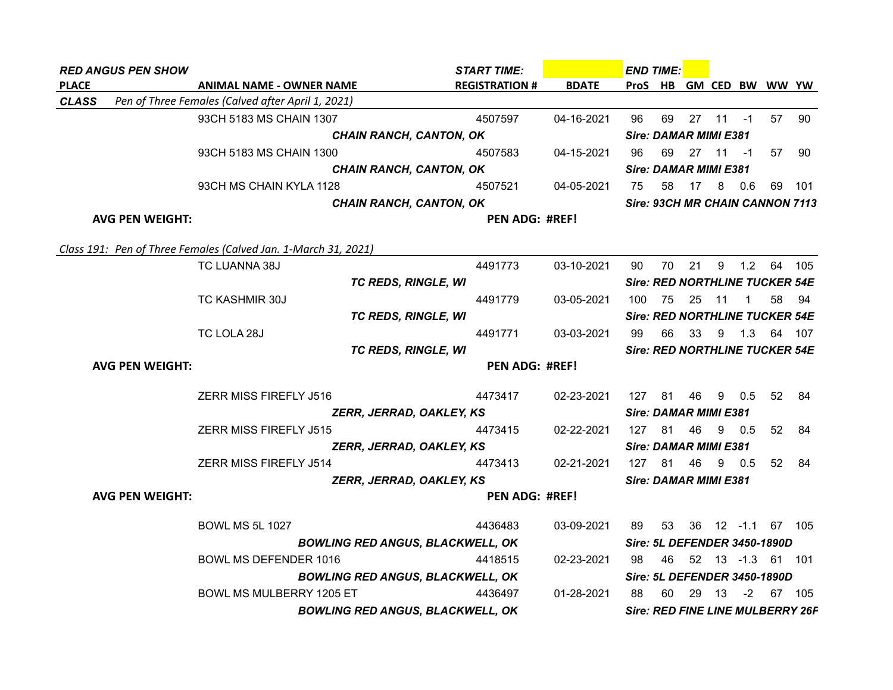| <b>RED ANGUS PEN SHOW</b> |                                                                | <b>START TIME:</b>    |              | <b>END TIME:</b> |         |                              |              |                |                                         |      |
|---------------------------|----------------------------------------------------------------|-----------------------|--------------|------------------|---------|------------------------------|--------------|----------------|-----------------------------------------|------|
| <b>PLACE</b>              | <b>ANIMAL NAME - OWNER NAME</b>                                | <b>REGISTRATION #</b> | <b>BDATE</b> |                  | ProS HB |                              |              |                | GM CED BW WW YW                         |      |
| <b>CLASS</b>              | Pen of Three Females (Calved after April 1, 2021)              |                       |              |                  |         |                              |              |                |                                         |      |
|                           | 93CH 5183 MS CHAIN 1307                                        | 4507597               | 04-16-2021   | 96               | 69      |                              | $27$ 11 $-1$ |                | 57                                      | 90   |
|                           | <b>CHAIN RANCH, CANTON, OK</b>                                 |                       |              |                  |         | <b>Sire: DAMAR MIMI E381</b> |              |                |                                         |      |
|                           | 93CH 5183 MS CHAIN 1300                                        | 4507583               | 04-15-2021   | 96               |         | 69 27 11 -1                  |              |                | 57                                      | 90   |
|                           | <b>CHAIN RANCH, CANTON, OK</b>                                 |                       |              |                  |         | <b>Sire: DAMAR MIMI E381</b> |              |                |                                         |      |
|                           | 93CH MS CHAIN KYLA 1128                                        | 4507521               | 04-05-2021   | 75               | 58      | 17 8 0.6                     |              |                | 69                                      | -101 |
|                           | <b>CHAIN RANCH, CANTON, OK</b>                                 |                       |              |                  |         |                              |              |                | Sire: 93CH MR CHAIN CANNON 7113         |      |
| <b>AVG PEN WEIGHT:</b>    |                                                                | PEN ADG: #REF!        |              |                  |         |                              |              |                |                                         |      |
|                           | Class 191: Pen of Three Females (Calved Jan. 1-March 31, 2021) |                       |              |                  |         |                              |              |                |                                         |      |
|                           | TC LUANNA 38J                                                  | 4491773               | 03-10-2021   | 90               |         |                              |              |                | 70 21 9 1.2 64 105                      |      |
|                           | <b>TC REDS, RINGLE, WI</b>                                     |                       |              |                  |         |                              |              |                | Sire: RED NORTHLINE TUCKER 54E          |      |
|                           | TC KASHMIR 30J                                                 | 4491779               | 03-05-2021   |                  |         | 100 75 25 11                 |              | $\overline{1}$ | 58                                      | - 94 |
|                           | <b>TC REDS, RINGLE, WI</b>                                     |                       |              |                  |         |                              |              |                | Sire: RED NORTHLINE TUCKER 54E          |      |
|                           | TC LOLA 28J                                                    | 4491771               | 03-03-2021   | 99               | 66      | 33                           |              |                | 9 1.3 64 107                            |      |
|                           | <b>TC REDS, RINGLE, WI</b>                                     |                       |              |                  |         |                              |              |                | <b>Sire: RED NORTHLINE TUCKER 54E</b>   |      |
| <b>AVG PEN WEIGHT:</b>    |                                                                | <b>PEN ADG: #REF!</b> |              |                  |         |                              |              |                |                                         |      |
|                           | ZERR MISS FIREFLY J516                                         | 4473417               | 02-23-2021   |                  | 127 81  |                              | 46 9 0.5     |                | 52                                      | - 84 |
|                           | ZERR, JERRAD, OAKLEY, KS                                       |                       |              |                  |         | <b>Sire: DAMAR MIMI E381</b> |              |                |                                         |      |
|                           | ZERR MISS FIREFLY J515                                         | 4473415               | 02-22-2021   |                  | 127 81  | 46                           | 9 0.5        |                | 52 <sub>2</sub>                         | -84  |
|                           | ZERR, JERRAD, OAKLEY, KS                                       |                       |              |                  |         | <b>Sire: DAMAR MIMI E381</b> |              |                |                                         |      |
|                           | <b>ZERR MISS FIREFLY J514</b>                                  | 4473413               | 02-21-2021   |                  |         | 127 81 46 9 0.5              |              |                | 52                                      | 84   |
|                           | ZERR, JERRAD, OAKLEY, KS                                       |                       |              |                  |         | <b>Sire: DAMAR MIMI E381</b> |              |                |                                         |      |
| <b>AVG PEN WEIGHT:</b>    |                                                                | <b>PEN ADG: #REF!</b> |              |                  |         |                              |              |                |                                         |      |
|                           | <b>BOWL MS 5L 1027</b>                                         | 4436483               | 03-09-2021   | 89               |         |                              |              |                | 53 36 12 -1.1 67 105                    |      |
|                           | <b>BOWLING RED ANGUS, BLACKWELL, OK</b>                        |                       |              |                  |         |                              |              |                | Sire: 5L DEFENDER 3450-1890D            |      |
|                           | BOWL MS DEFENDER 1016                                          | 4418515               | 02-23-2021   | 98               |         |                              |              |                | 46 52 13 -1.3 61 101                    |      |
|                           | <b>BOWLING RED ANGUS, BLACKWELL, OK</b>                        |                       |              |                  |         |                              |              |                | Sire: 5L DEFENDER 3450-1890D            |      |
|                           | BOWL MS MULBERRY 1205 ET                                       | 4436497               | 01-28-2021   | 88               | 60      |                              | 29 13        |                | $-2$ 67 105                             |      |
|                           | <b>BOWLING RED ANGUS, BLACKWELL, OK</b>                        |                       |              |                  |         |                              |              |                | <b>Sire: RED FINE LINE MULBERRY 26P</b> |      |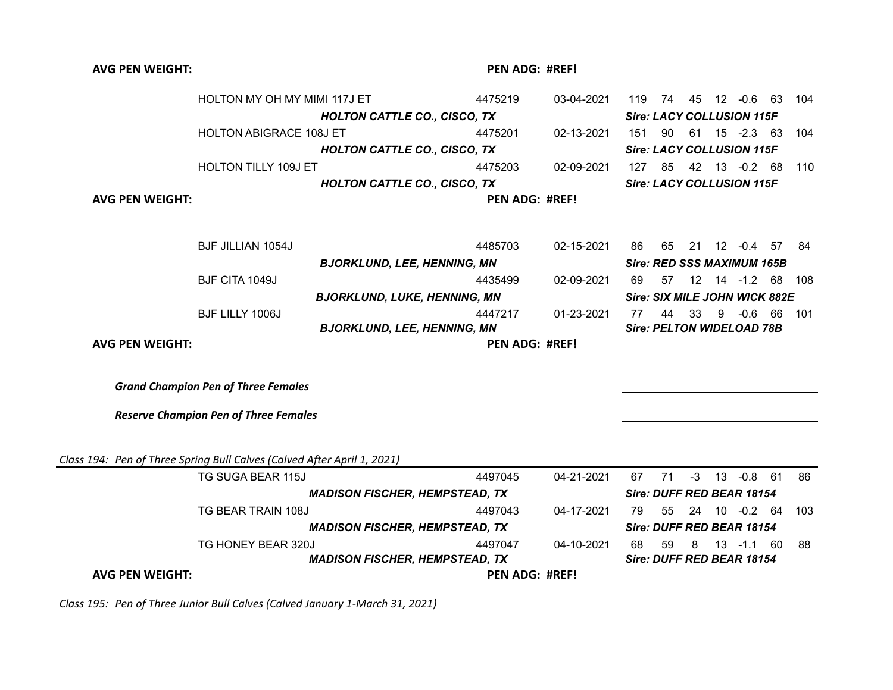| <b>AVG PEN WEIGHT:</b>                                                  |                                              |                                       | <b>PEN ADG: #REF!</b> |            |    |                                   |     |                      |       |
|-------------------------------------------------------------------------|----------------------------------------------|---------------------------------------|-----------------------|------------|----|-----------------------------------|-----|----------------------|-------|
|                                                                         | HOLTON MY OH MY MIMI 117J ET                 |                                       | 4475219               | 03-04-2021 |    | 119 74 45 12 -0.6 63 104          |     |                      |       |
|                                                                         |                                              | <b>HOLTON CATTLE CO., CISCO, TX</b>   |                       |            |    | <b>Sire: LACY COLLUSION 115F</b>  |     |                      |       |
|                                                                         | <b>HOLTON ABIGRACE 108J ET</b>               |                                       | 4475201               | 02-13-2021 |    | 151 90 61 15 -2.3 63              |     |                      | 104   |
|                                                                         |                                              | <b>HOLTON CATTLE CO., CISCO, TX</b>   |                       |            |    | <b>Sire: LACY COLLUSION 115F</b>  |     |                      |       |
|                                                                         | HOLTON TILLY 109J ET                         |                                       | 4475203               | 02-09-2021 |    | 127 85 42 13 -0.2 68              |     |                      | 110   |
|                                                                         |                                              | <b>HOLTON CATTLE CO., CISCO, TX</b>   |                       |            |    | <b>Sire: LACY COLLUSION 115F</b>  |     |                      |       |
| <b>AVG PEN WEIGHT:</b>                                                  |                                              |                                       | <b>PEN ADG: #REF!</b> |            |    |                                   |     |                      |       |
|                                                                         | <b>BJF JILLIAN 1054J</b>                     |                                       | 4485703               | 02-15-2021 | 86 | 65                                |     | 21 12 -0.4 57        | -84   |
|                                                                         |                                              | <b>BJORKLUND, LEE, HENNING, MN</b>    |                       |            |    | <b>Sire: RED SSS MAXIMUM 165B</b> |     |                      |       |
|                                                                         | BJF CITA 1049J                               |                                       | 4435499               | 02-09-2021 | 69 |                                   |     | 57  12  14  -1.2  68 | - 108 |
|                                                                         |                                              | <b>BJORKLUND, LUKE, HENNING, MN</b>   |                       |            |    | Sire: SIX MILE JOHN WICK 882E     |     |                      |       |
|                                                                         | BJF LILLY 1006J                              |                                       | 4447217               | 01-23-2021 | 77 |                                   |     | 44 33 9 -0.6 66      | 101   |
|                                                                         |                                              | <b>BJORKLUND, LEE, HENNING, MN</b>    |                       |            |    | <b>Sire: PELTON WIDELOAD 78B</b>  |     |                      |       |
| <b>AVG PEN WEIGHT:</b>                                                  |                                              |                                       | <b>PEN ADG: #REF!</b> |            |    |                                   |     |                      |       |
|                                                                         |                                              |                                       |                       |            |    |                                   |     |                      |       |
|                                                                         | <b>Grand Champion Pen of Three Females</b>   |                                       |                       |            |    |                                   |     |                      |       |
|                                                                         | <b>Reserve Champion Pen of Three Females</b> |                                       |                       |            |    |                                   |     |                      |       |
| Class 194: Pen of Three Spring Bull Calves (Calved After April 1, 2021) |                                              |                                       |                       |            |    |                                   |     |                      |       |
|                                                                         | TG SUGA BEAR 115J                            |                                       | 4497045               | 04-21-2021 | 67 | 71                                |     | $-3$ 13 $-0.8$ 61    | 86    |
|                                                                         |                                              | <b>MADISON FISCHER, HEMPSTEAD, TX</b> |                       |            |    | Sire: DUFF RED BEAR 18154         |     |                      |       |
|                                                                         | TG BEAR TRAIN 108J                           |                                       | 4497043               | 04-17-2021 | 79 | 55                                |     | 24 10 -0.2 64        | 103   |
|                                                                         |                                              | <b>MADISON FISCHER, HEMPSTEAD, TX</b> |                       |            |    | Sire: DUFF RED BEAR 18154         |     |                      |       |
|                                                                         | TG HONEY BEAR 320J                           |                                       | 4497047               | 04-10-2021 | 68 | 59                                | - 8 | 13 -1.1 60           | 88    |
|                                                                         |                                              | <b>MADISON FISCHER, HEMPSTEAD, TX</b> |                       |            |    | Sire: DUFF RED BEAR 18154         |     |                      |       |
| <b>AVG PEN WEIGHT:</b>                                                  |                                              |                                       | PEN ADG: #REF!        |            |    |                                   |     |                      |       |

*Class 195: Pen of Three Junior Bull Calves (Calved January 1-March 31, 2021)*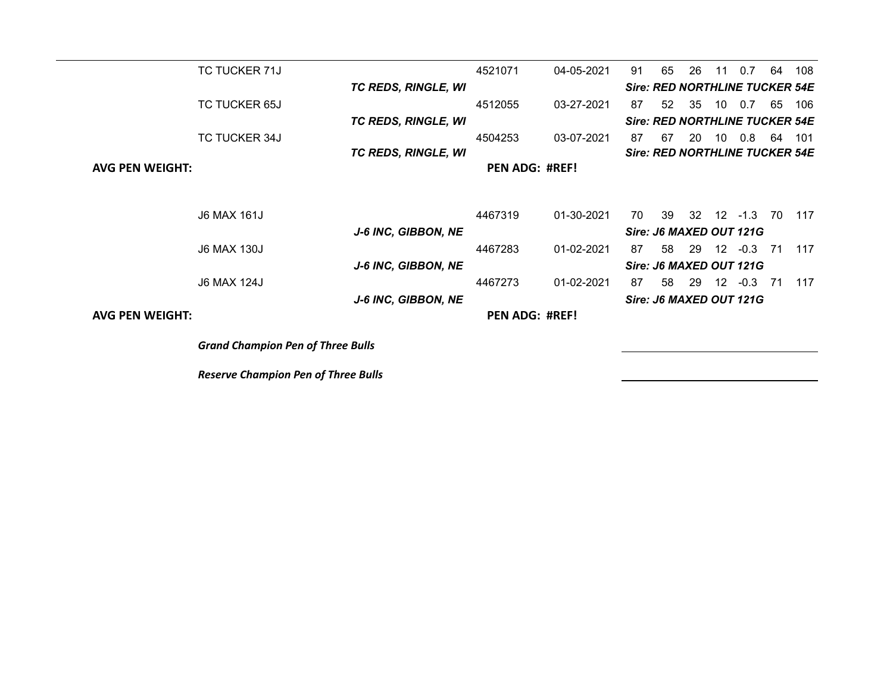| TC TUCKER 71J                            |                            | 4521071 | 04-05-2021            | 91 | 65 | 26  | 11               | 0.7                                   | 64 | 108 |
|------------------------------------------|----------------------------|---------|-----------------------|----|----|-----|------------------|---------------------------------------|----|-----|
|                                          | <b>TC REDS, RINGLE, WI</b> |         |                       |    |    |     |                  | <b>Sire: RED NORTHLINE TUCKER 54E</b> |    |     |
| <b>TC TUCKER 65J</b>                     |                            | 4512055 | 03-27-2021            | 87 | 52 | 35  | 10               | 0.7                                   | 65 | 106 |
|                                          | <b>TC REDS, RINGLE, WI</b> |         |                       |    |    |     |                  | <b>Sire: RED NORTHLINE TUCKER 54E</b> |    |     |
| <b>TC TUCKER 34J</b>                     |                            | 4504253 | 03-07-2021            | 87 | 67 | 20  | 10               | 0.8                                   | 64 | 101 |
|                                          | <b>TC REDS, RINGLE, WI</b> |         |                       |    |    |     |                  | <b>Sire: RED NORTHLINE TUCKER 54E</b> |    |     |
| <b>AVG PEN WEIGHT:</b>                   |                            |         | <b>PEN ADG: #REF!</b> |    |    |     |                  |                                       |    |     |
|                                          |                            |         |                       |    |    |     |                  |                                       |    |     |
| J6 MAX 161J                              |                            | 4467319 | 01-30-2021            | 70 | 39 |     |                  | 32 12 -1.3                            | 70 | 117 |
|                                          | J-6 INC, GIBBON, NE        |         |                       |    |    |     |                  | Sire: J6 MAXED OUT 121G               |    |     |
| <b>J6 MAX 130J</b>                       |                            | 4467283 | 01-02-2021            | 87 | 58 | -29 | 12 <sup>12</sup> | $-0.3$                                | 71 | 117 |
|                                          | <b>J-6 INC, GIBBON, NE</b> |         |                       |    |    |     |                  | Sire: J6 MAXED OUT 121G               |    |     |
| J6 MAX 124J                              |                            | 4467273 | 01-02-2021            | 87 | 58 | 29  | 12 <sup>°</sup>  | $-0.3$                                | 71 | 117 |
|                                          | <b>J-6 INC, GIBBON, NE</b> |         |                       |    |    |     |                  | Sire: J6 MAXED OUT 121G               |    |     |
| <b>AVG PEN WEIGHT:</b>                   |                            |         | <b>PEN ADG: #REF!</b> |    |    |     |                  |                                       |    |     |
| <b>Grand Champion Pen of Three Bulls</b> |                            |         |                       |    |    |     |                  |                                       |    |     |
|                                          |                            |         |                       |    |    |     |                  |                                       |    |     |

*Reserve Champion Pen of Three Bulls*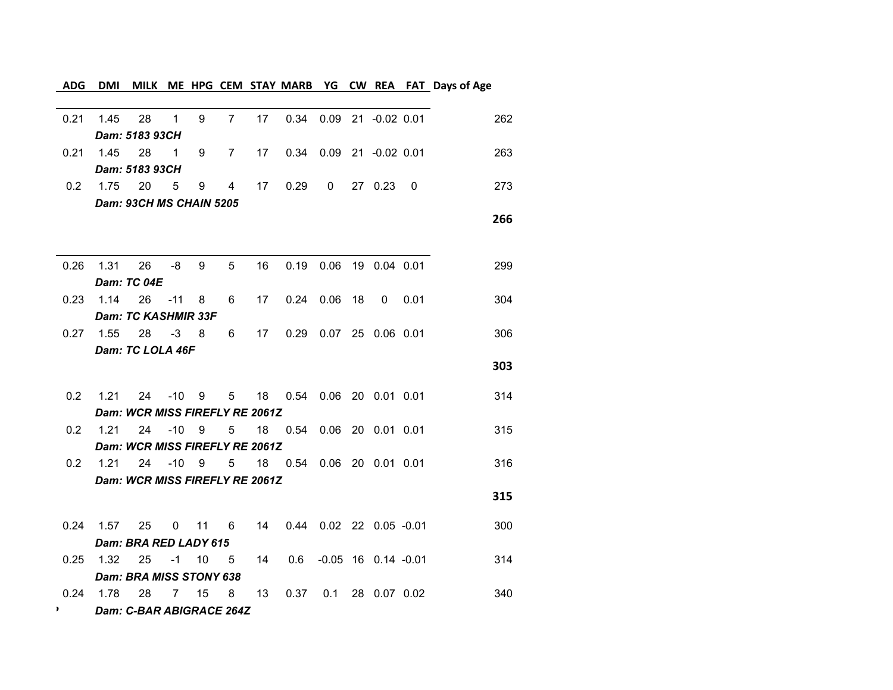## **ADG DMI MILK ME HPG CEM STAY MARB YG CW REA FAT Days of Age**

| 0.21                          | 1.45                   | 28                             | $\mathbf{1}$ | 9      | $7^{\circ}$    |    | 17  0.34  0.09  21  -0.02  0.01      |                            |  | 262 |
|-------------------------------|------------------------|--------------------------------|--------------|--------|----------------|----|--------------------------------------|----------------------------|--|-----|
|                               |                        | Dam: 5183 93CH                 |              |        |                |    |                                      |                            |  |     |
|                               | 0.21 1.45 28 1 9 7     |                                |              |        |                |    | 17  0.34  0.09  21  -0.02  0.01      |                            |  | 263 |
|                               |                        | Dam: 5183 93CH                 |              |        |                |    |                                      |                            |  |     |
|                               | $0.2$ 1.75             | 20                             | $5^{\circ}$  | 9      | $\overline{4}$ | 17 | 0.29                                 | $0$ 27 0.23 0              |  | 273 |
|                               |                        | Dam: 93CH MS CHAIN 5205        |              |        |                |    |                                      |                            |  |     |
|                               |                        |                                |              |        |                |    |                                      |                            |  | 266 |
|                               |                        |                                |              |        |                |    |                                      |                            |  |     |
|                               | 0.26 1.31              | 26                             |              | $-8$ 9 | 5 <sup>5</sup> | 16 |                                      | 0.19  0.06  19  0.04  0.01 |  | 299 |
|                               | $0.23$ 1.14 26 -11 8 6 | Dam: TC 04E                    |              |        |                |    | 17  0.24  0.06  18  0  0.01          |                            |  | 304 |
|                               |                        | Dam: TC KASHMIR 33F            |              |        |                |    |                                      |                            |  |     |
|                               | $0.27$ 1.55            |                                |              |        |                |    | 28 -3 8 6 17 0.29 0.07 25 0.06 0.01  |                            |  | 306 |
|                               |                        | Dam: TC LOLA 46F               |              |        |                |    |                                      |                            |  |     |
|                               |                        |                                |              |        |                |    |                                      |                            |  | 303 |
| 0.2                           | 1.21                   |                                |              |        |                |    | 24 -10 9 5 18 0.54 0.06 20 0.01 0.01 |                            |  | 314 |
|                               |                        | Dam: WCR MISS FIREFLY RE 2061Z |              |        |                |    |                                      |                            |  |     |
|                               | $0.2$ 1.21             |                                | 24 -10 9     |        |                |    | 5 18 0.54 0.06 20 0.01 0.01          |                            |  | 315 |
|                               |                        | Dam: WCR MISS FIREFLY RE 2061Z |              |        |                |    |                                      |                            |  |     |
|                               | $0.2$ 1.21             |                                |              |        | 24 -10 9 5     |    | 18  0.54  0.06  20  0.01  0.01       |                            |  | 316 |
|                               |                        | Dam: WCR MISS FIREFLY RE 2061Z |              |        |                |    |                                      |                            |  |     |
|                               |                        |                                |              |        |                |    |                                      |                            |  | 315 |
|                               | 0.24 1.57              |                                |              |        |                |    | 25 0 11 6 14 0.44 0.02 22 0.05 -0.01 |                            |  | 300 |
|                               |                        | Dam: BRA RED LADY 615          |              |        |                |    |                                      |                            |  |     |
|                               | $0.25$ 1.32            | 25                             | $-1$ 10 5    |        |                | 14 |                                      | 0.6 -0.05 16 0.14 -0.01    |  | 314 |
|                               |                        | Dam: BRA MISS STONY 638        |              |        |                |    |                                      |                            |  |     |
|                               | $0.24$ 1.78            | 28                             |              | 7 15 8 |                | 13 |                                      | 0.37  0.1  28  0.07  0.02  |  | 340 |
| $\mathbf{P}$ and $\mathbf{P}$ |                        | Dam: C-BAR ABIGRACE 264Z       |              |        |                |    |                                      |                            |  |     |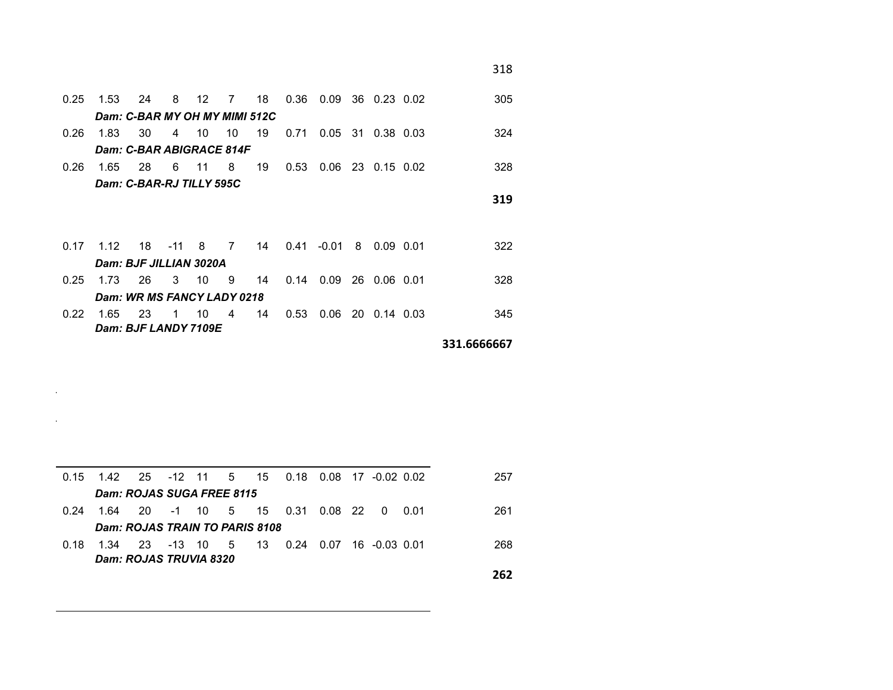| 0.25 | 1.53                          | 24 | 8            | 12    | 7              | 18 | 0.36 | 0.09    | 36 0.23 0.02  | 305                 |
|------|-------------------------------|----|--------------|-------|----------------|----|------|---------|---------------|---------------------|
|      | Dam: C-BAR MY OH MY MIMI 512C |    |              |       |                |    |      |         |               |                     |
| 0.26 | 1.83                          | 30 |              | 4 10  | 10             | 19 | 0.71 | 0.05    | 31 0.38 0.03  | 324                 |
|      | Dam: C-BAR ABIGRACE 814F      |    |              |       |                |    |      |         |               |                     |
| 0.26 | 1.65                          | 28 | 6            | $-11$ | 8              | 19 | 0.53 | 0.06    | 23 0.15 0.02  | 328                 |
|      | Dam: C-BAR-RJ TILLY 595C      |    |              |       |                |    |      |         |               |                     |
|      |                               |    |              |       |                |    |      |         |               | 319                 |
|      |                               |    |              |       |                |    |      |         |               |                     |
| 0.17 | 1.12                          | 18 | $-11$ 8      |       | $\overline{7}$ | 14 | 0.41 | $-0.01$ | 8  0.09  0.01 | 322                 |
|      | Dam: BJF JILLIAN 3020A        |    |              |       |                |    |      |         |               |                     |
|      |                               |    |              |       |                |    |      |         |               |                     |
| 0.25 | 1.73                          | 26 | 3            | - 10  | -9             | 14 | 0.14 | 0.09    | 26 0.06 0.01  | 328                 |
|      | Dam: WR MS FANCY LADY 0218    |    |              |       |                |    |      |         |               |                     |
| 0.22 | 1.65                          | 23 | $\mathbf{1}$ | 10    | $\overline{4}$ | 14 | 0.53 | 0.06    | 20 0.14 0.03  | 345                 |
|      | Dam: BJF LANDY 7109E          |    |              |       |                |    |      |         |               |                     |
|      |                               |    |              |       |                |    |      |         |               | nna <i>cecece</i> n |

**331.6666667**

| 0.15 |      | 1.42  25  -12  11  5  15  0.18 |        |       |      |      |      | $0.08$ 17 $-0.02$ 0.02 |               | 257 |
|------|------|--------------------------------|--------|-------|------|------|------|------------------------|---------------|-----|
|      |      | Dam: ROJAS SUGA FREE 8115      |        |       |      |      |      |                        |               |     |
| 0.24 | 1.64 | 20                             |        | -1 10 | 5 15 |      | 0.31 | $0.08$ 22 0 0.01       |               | 261 |
|      |      | Dam: ROJAS TRAIN TO PARIS 8108 |        |       |      |      |      |                        |               |     |
| 0.18 | 1.34 | -23                            | -13 10 |       | -5   | - 13 | 0.24 | 0.07                   | 16 -0.03 0.01 | 268 |
|      |      | <b>Dam: ROJAS TRUVIA 8320</b>  |        |       |      |      |      |                        |               |     |
|      |      |                                |        |       |      |      |      |                        |               | 262 |

 $\sim$ 

 $\mathcal{L}_{\rm{max}}$